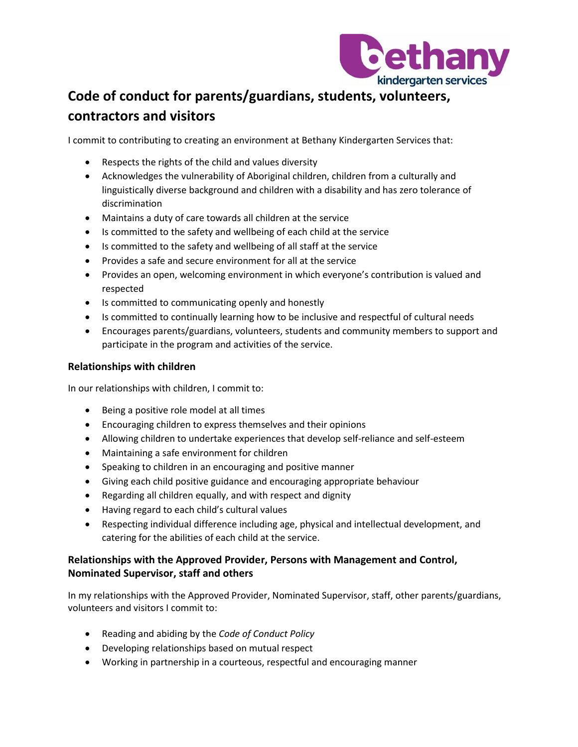

## **Code of conduct for parents/guardians, students, volunteers, contractors and visitors**

I commit to contributing to creating an environment at Bethany Kindergarten Services that:

- Respects the rights of the child and values diversity
- Acknowledges the vulnerability of Aboriginal children, children from a culturally and linguistically diverse background and children with a disability and has zero tolerance of discrimination
- Maintains a duty of care towards all children at the service
- Is committed to the safety and wellbeing of each child at the service
- Is committed to the safety and wellbeing of all staff at the service
- Provides a safe and secure environment for all at the service
- Provides an open, welcoming environment in which everyone's contribution is valued and respected
- Is committed to communicating openly and honestly
- Is committed to continually learning how to be inclusive and respectful of cultural needs
- Encourages parents/guardians, volunteers, students and community members to support and participate in the program and activities of the service.

## **Relationships with children**

In our relationships with children, I commit to:

- Being a positive role model at all times
- Encouraging children to express themselves and their opinions
- Allowing children to undertake experiences that develop self-reliance and self-esteem
- Maintaining a safe environment for children
- Speaking to children in an encouraging and positive manner
- Giving each child positive guidance and encouraging appropriate behaviour
- Regarding all children equally, and with respect and dignity
- Having regard to each child's cultural values
- Respecting individual difference including age, physical and intellectual development, and catering for the abilities of each child at the service.

## **Relationships with the Approved Provider, Persons with Management and Control, Nominated Supervisor, staff and others**

In my relationships with the Approved Provider, Nominated Supervisor, staff, other parents/guardians, volunteers and visitors I commit to:

- Reading and abiding by the *Code of Conduct Policy*
- Developing relationships based on mutual respect
- Working in partnership in a courteous, respectful and encouraging manner